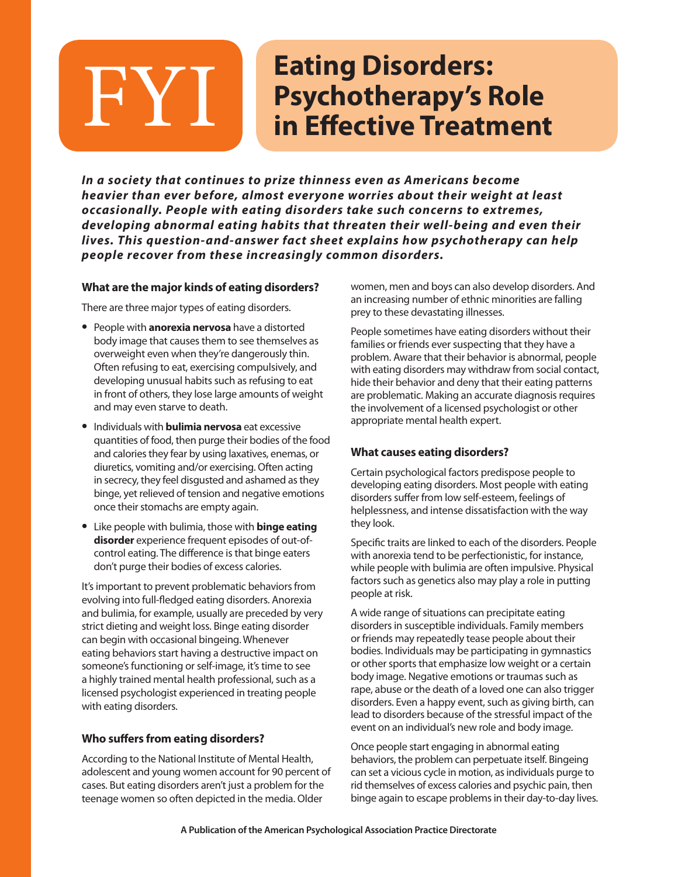# **Eating Disorders: Psychotherapy's Role**<br> **Psychotherapy's Role**<br> **in Effective Treatment**

*In a society that continues to prize thinness even as Americans become heavier than ever before, almost everyone worries about their weight at least occasionally. People with eating disorders take such concerns to extremes, developing abnormal eating habits that threaten their well-being and even their lives. This question-and-answer fact sheet explains how psychotherapy can help people recover from these increasingly common disorders.*

## **What are the major kinds of eating disorders?**

There are three major types of eating disorders.

- **•** People with **anorexia nervosa** have a distorted body image that causes them to see themselves as overweight even when they're dangerously thin. Often refusing to eat, exercising compulsively, and developing unusual habits such as refusing to eat in front of others, they lose large amounts of weight and may even starve to death.
- **•** Individuals with **bulimia nervosa** eat excessive quantities of food, then purge their bodies of the food and calories they fear by using laxatives, enemas, or diuretics, vomiting and/or exercising. Often acting in secrecy, they feel disgusted and ashamed as they binge, yet relieved of tension and negative emotions once their stomachs are empty again.
- **•** Like people with bulimia, those with **binge eating disorder** experience frequent episodes of out-ofcontrol eating. The difference is that binge eaters don't purge their bodies of excess calories.

It's important to prevent problematic behaviors from evolving into full-fledged eating disorders. Anorexia and bulimia, for example, usually are preceded by very strict dieting and weight loss. Binge eating disorder can begin with occasional bingeing. Whenever eating behaviors start having a destructive impact on someone's functioning or self-image, it's time to see a highly trained mental health professional, such as a licensed psychologist experienced in treating people with eating disorders.

#### **Who suffers from eating disorders?**

According to the National Institute of Mental Health, adolescent and young women account for 90 percent of cases. But eating disorders aren't just a problem for the teenage women so often depicted in the media. Older

women, men and boys can also develop disorders. And an increasing number of ethnic minorities are falling prey to these devastating illnesses.

People sometimes have eating disorders without their families or friends ever suspecting that they have a problem. Aware that their behavior is abnormal, people with eating disorders may withdraw from social contact, hide their behavior and deny that their eating patterns are problematic. Making an accurate diagnosis requires the involvement of a licensed psychologist or other appropriate mental health expert.

#### **What causes eating disorders?**

Certain psychological factors predispose people to developing eating disorders. Most people with eating disorders suffer from low self-esteem, feelings of helplessness, and intense dissatisfaction with the way they look.

Specific traits are linked to each of the disorders. People with anorexia tend to be perfectionistic, for instance, while people with bulimia are often impulsive. Physical factors such as genetics also may play a role in putting people at risk.

A wide range of situations can precipitate eating disorders in susceptible individuals. Family members or friends may repeatedly tease people about their bodies. Individuals may be participating in gymnastics or other sports that emphasize low weight or a certain body image. Negative emotions or traumas such as rape, abuse or the death of a loved one can also trigger disorders. Even a happy event, such as giving birth, can lead to disorders because of the stressful impact of the event on an individual's new role and body image.

Once people start engaging in abnormal eating behaviors, the problem can perpetuate itself. Bingeing can set a vicious cycle in motion, as individuals purge to rid themselves of excess calories and psychic pain, then binge again to escape problems in their day-to-day lives.